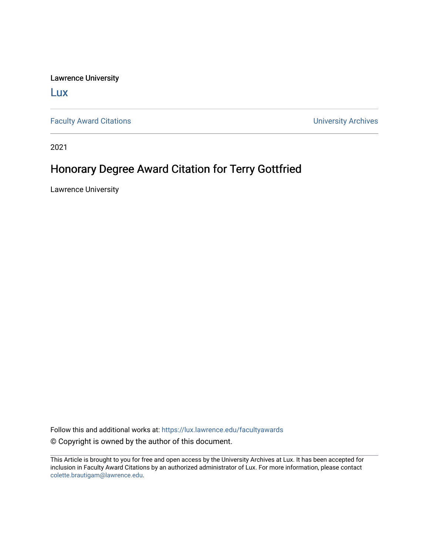Lawrence University

[Lux](https://lux.lawrence.edu/)

[Faculty Award Citations](https://lux.lawrence.edu/facultyawards) **Example 2018** 2019 12:30 Number 2019 12:30 Number 2019 12:30 Number 2019 12:30 Number 2019 12:30 Number 2019 12:30 Number 2019 12:30 Number 2019 12:30 Number 2019 12:30 Number 2019 12:30 Number 201

2021

## Honorary Degree Award Citation for Terry Gottfried

Lawrence University

Follow this and additional works at: [https://lux.lawrence.edu/facultyawards](https://lux.lawrence.edu/facultyawards?utm_source=lux.lawrence.edu%2Ffacultyawards%2F212&utm_medium=PDF&utm_campaign=PDFCoverPages)  © Copyright is owned by the author of this document.

This Article is brought to you for free and open access by the University Archives at Lux. It has been accepted for inclusion in Faculty Award Citations by an authorized administrator of Lux. For more information, please contact [colette.brautigam@lawrence.edu.](mailto:colette.brautigam@lawrence.edu)